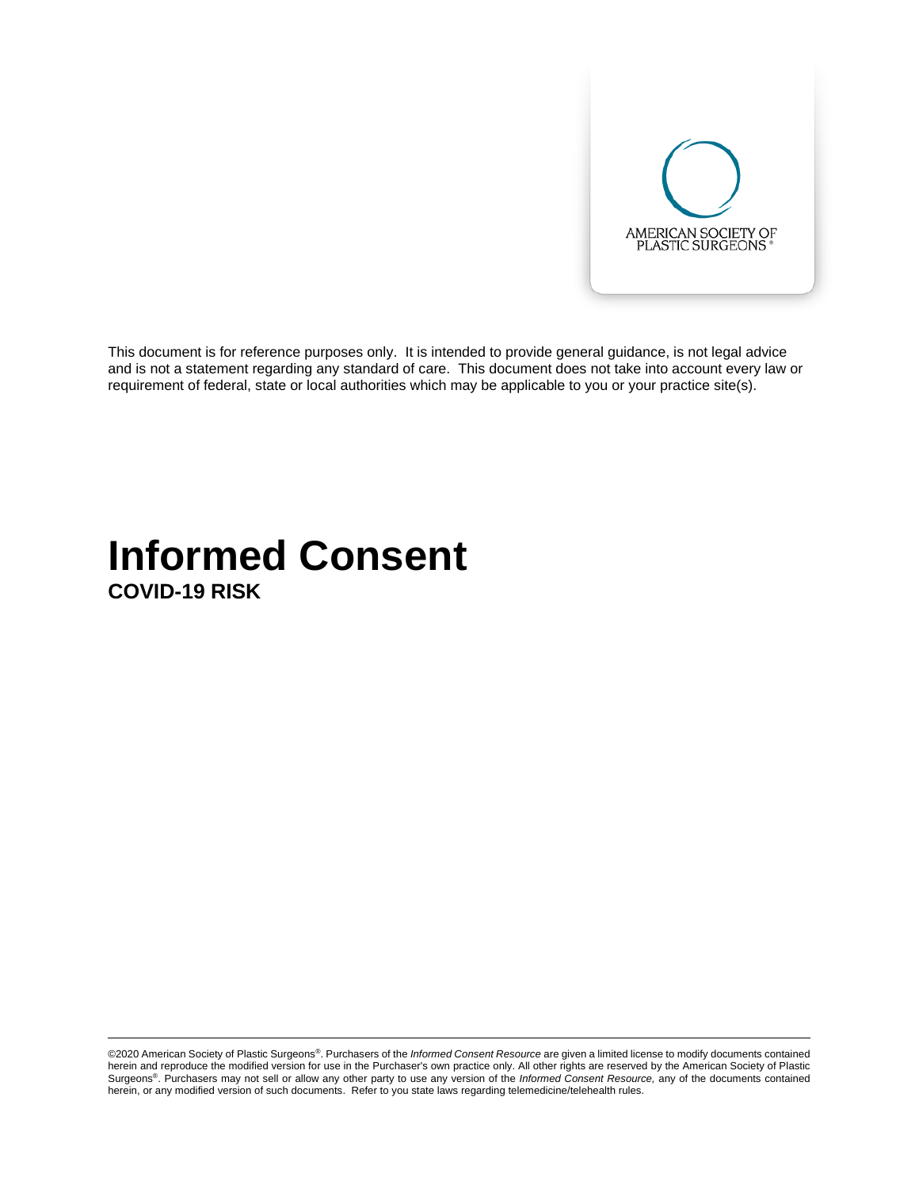

This document is for reference purposes only. It is intended to provide general guidance, is not legal advice and is not a statement regarding any standard of care. This document does not take into account every law or requirement of federal, state or local authorities which may be applicable to you or your practice site(s).

## **Informed Consent COVID-19 RISK**

©2020 American Society of Plastic Surgeons®. Purchasers of the *Informed Consent Resource* are given a limited license to modify documents contained herein and reproduce the modified version for use in the Purchaser's own practice only. All other rights are reserved by the American Society of Plastic Surgeons®. Purchasers may not sell or allow any other party to use any version of the *Informed Consent Resource,* any of the documents contained herein, or any modified version of such documents. Refer to you state laws regarding telemedicine/telehealth rules.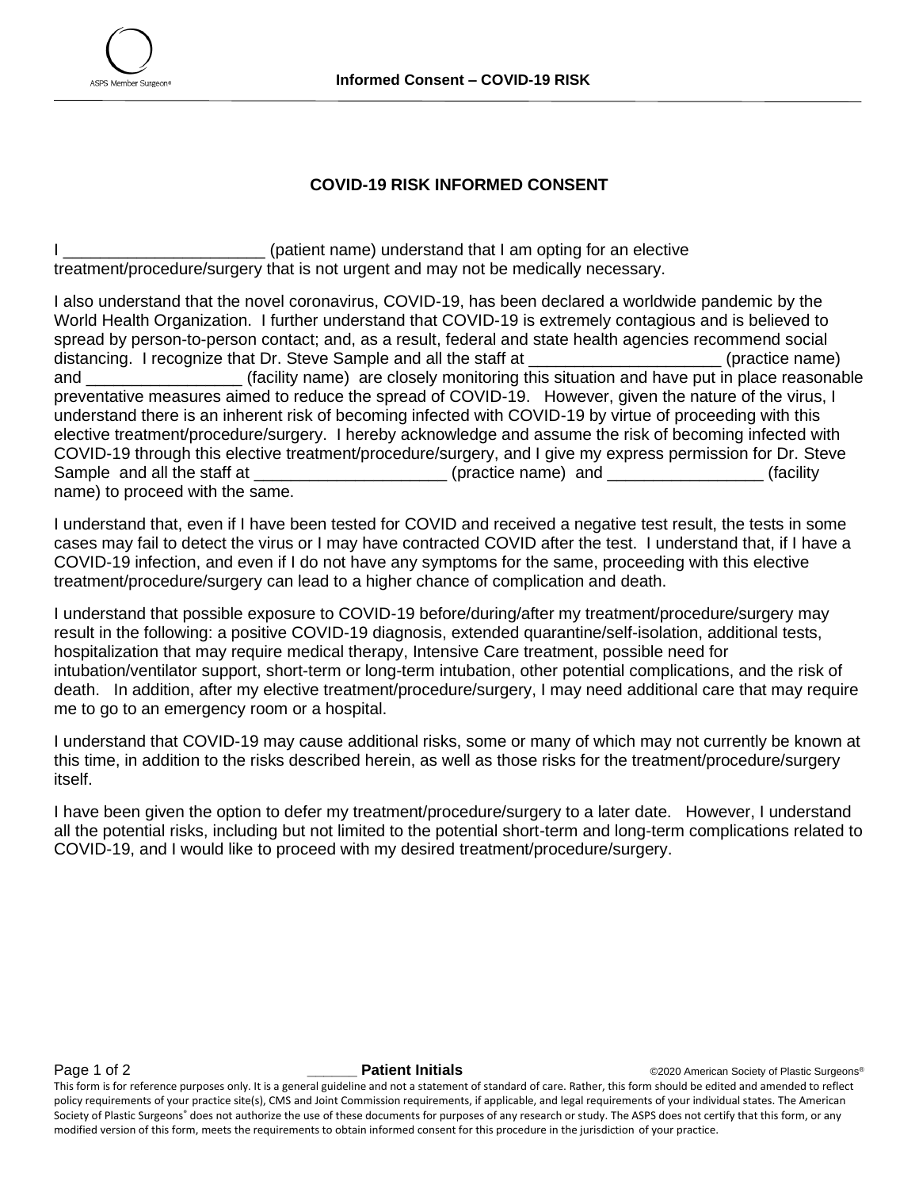

## **COVID-19 RISK INFORMED CONSENT**

I consider the state of patient name) understand that I am opting for an elective treatment/procedure/surgery that is not urgent and may not be medically necessary.

I also understand that the novel coronavirus, COVID-19, has been declared a worldwide pandemic by the World Health Organization. I further understand that COVID-19 is extremely contagious and is believed to spread by person-to-person contact; and, as a result, federal and state health agencies recommend social distancing. I recognize that Dr. Steve Sample and all the staff at \_\_\_\_\_\_\_\_\_\_\_\_\_\_\_\_\_\_\_\_\_\_\_\_(practice name) and \_\_\_\_\_\_\_\_\_\_\_\_\_\_\_\_\_ (facility name) are closely monitoring this situation and have put in place reasonable preventative measures aimed to reduce the spread of COVID-19. However, given the nature of the virus, I understand there is an inherent risk of becoming infected with COVID-19 by virtue of proceeding with this elective treatment/procedure/surgery. I hereby acknowledge and assume the risk of becoming infected with COVID-19 through this elective treatment/procedure/surgery, and I give my express permission for Dr. Steve Sample and all the staff at the stature of the stature of the status (practice name) and  $\left($  facility name) to proceed with the same.

I understand that, even if I have been tested for COVID and received a negative test result, the tests in some cases may fail to detect the virus or I may have contracted COVID after the test. I understand that, if I have a COVID-19 infection, and even if I do not have any symptoms for the same, proceeding with this elective treatment/procedure/surgery can lead to a higher chance of complication and death.

I understand that possible exposure to COVID-19 before/during/after my treatment/procedure/surgery may result in the following: a positive COVID-19 diagnosis, extended quarantine/self-isolation, additional tests, hospitalization that may require medical therapy, Intensive Care treatment, possible need for intubation/ventilator support, short-term or long-term intubation, other potential complications, and the risk of death. In addition, after my elective treatment/procedure/surgery, I may need additional care that may require me to go to an emergency room or a hospital.

I understand that COVID-19 may cause additional risks, some or many of which may not currently be known at this time, in addition to the risks described herein, as well as those risks for the treatment/procedure/surgery itself.

I have been given the option to defer my treatment/procedure/surgery to a later date. However, I understand all the potential risks, including but not limited to the potential short-term and long-term complications related to COVID-19, and I would like to proceed with my desired treatment/procedure/surgery.

**Page 1 of 2** *Patient Initials* **COVID BY ALLOCATE:** COVID-1 **Patient Initials CALLOCATE:** COVID-1 **Patient Paties Covid-1** *Patient Initials* **COVID-1**  COVID-1 **COVID-1 COVID-1 COVID-1 COVID-1 COVID-1 COVI** 

This form is for reference purposes only. It is a general guideline and not a statement of standard of care. Rather, this form should be edited and amended to reflect policy requirements of your practice site(s), CMS and Joint Commission requirements, if applicable, and legal requirements of your individual states. The American Society of Plastic Surgeons® does not authorize the use of these documents for purposes of any research or study. The ASPS does not certify that this form, or any modified version of this form, meets the requirements to obtain informed consent for this procedure in the jurisdiction of your practice.